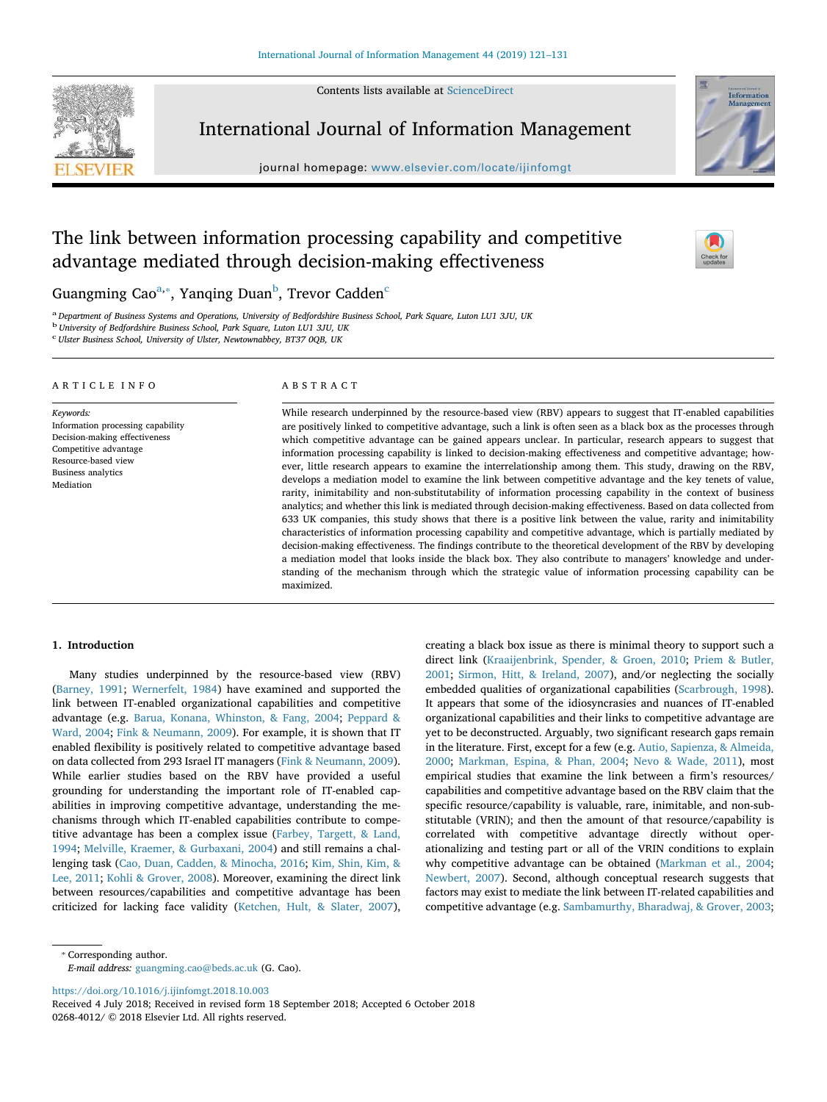Contents lists available at ScienceDirect



International Journal of Information Management

journal homepage: www.elsevier.com/locate/ijinfomgt



# The link between information processing capability and competitive advantage mediated through decision-making effectiveness

 $\frac{N}{2}$ 

Guangming Cao $^{\mathrm{a},*}$ , Yanqing Duan $^{\mathrm{b}}$ , Trevor Cadden $^{\mathrm{c}}$ 

a *Department of Business Systems and Operations, University of Bedfordshire Business School, Park Square, Luton LU1 3JU, UK*

b *University of Bedfordshire Business School, Park Square, Luton LU1 3JU, UK*

c *Ulster Business School, University of Ulster, Newtownabbey, BT37 0QB, UK*

#### ARTICLE INFO

*Keywords:* Information processing capability Decision-making effectiveness Competitive advantage Resource-based view Business analytics Mediation

# ABSTRACT

While research underpinned by the resource-based view (RBV) appears to suggest that IT-enabled capabilities are positively linked to competitive advantage, such a link is often seen as a black box as the processes through which competitive advantage can be gained appears unclear. In particular, research appears to suggest that information processing capability is linked to decision-making effectiveness and competitive advantage; however, little research appears to examine the interrelationship among them. This study, drawing on the RBV, develops a mediation model to examine the link between competitive advantage and the key tenets of value, rarity, inimitability and non-substitutability of information processing capability in the context of business analytics; and whether this link is mediated through decision-making effectiveness. Based on data collected from 633 UK companies, this study shows that there is a positive link between the value, rarity and inimitability characteristics of information processing capability and competitive advantage, which is partially mediated by decision-making effectiveness. The findings contribute to the theoretical development of the RBV by developing a mediation model that looks inside the black box. They also contribute to managers' knowledge and understanding of the mechanism through which the strategic value of information processing capability can be maximized.

# 1. Introduction

Many studies underpinned by the resource-based view (RBV) (Barney, 1991; Wernerfelt, 1984) have examined and supported the link between IT-enabled organizational capabilities and competitive advantage (e.g. Barua, Konana, Whinston, & Fang, 2004; Peppard & Ward, 2004; Fink & Neumann, 2009). For example, it is shown that IT enabled flexibility is positively related to competitive advantage based on data collected from 293 Israel IT managers (Fink & Neumann, 2009). While earlier studies based on the RBV have provided a useful grounding for understanding the important role of IT-enabled capabilities in improving competitive advantage, understanding the mechanisms through which IT-enabled capabilities contribute to competitive advantage has been a complex issue (Farbey, Targett, & Land, 1994; Melville, Kraemer, & Gurbaxani, 2004) and still remains a challenging task (Cao, Duan, Cadden, & Minocha, 2016; Kim, Shin, Kim, & Lee, 2011; Kohli & Grover, 2008). Moreover, examining the direct link between resources/capabilities and competitive advantage has been criticized for lacking face validity (Ketchen, Hult, & Slater, 2007),

creating a black box issue as there is minimal theory to support such a direct link (Kraaijenbrink, Spender, & Groen, 2010; Priem & Butler, 2001; Sirmon, Hitt, & Ireland, 2007), and/or neglecting the socially embedded qualities of organizational capabilities (Scarbrough, 1998). It appears that some of the idiosyncrasies and nuances of IT-enabled organizational capabilities and their links to competitive advantage are yet to be deconstructed. Arguably, two significant research gaps remain in the literature. First, except for a few (e.g. Autio, Sapienza, & Almeida, 2000; Markman, Espina, & Phan, 2004; Nevo & Wade, 2011), most empirical studies that examine the link between a firm's resources/ capabilities and competitive advantage based on the RBV claim that the specific resource/capability is valuable, rare, inimitable, and non-substitutable (VRIN); and then the amount of that resource/capability is correlated with competitive advantage directly without operationalizing and testing part or all of the VRIN conditions to explain why competitive advantage can be obtained (Markman et al., 2004; Newbert, 2007). Second, although conceptual research suggests that factors may exist to mediate the link between IT-related capabilities and competitive advantage (e.g. Sambamurthy, Bharadwaj, & Grover, 2003;

⁎ Corresponding author.

*E-mail address:* guangming.cao@beds.ac.uk (G. Cao).

https://doi.org/10.1016/j.ijinfomgt.2018.10.003

Received 4 July 2018; Received in revised form 18 September 2018; Accepted 6 October 2018 0268-4012/ © 2018 Elsevier Ltd. All rights reserved.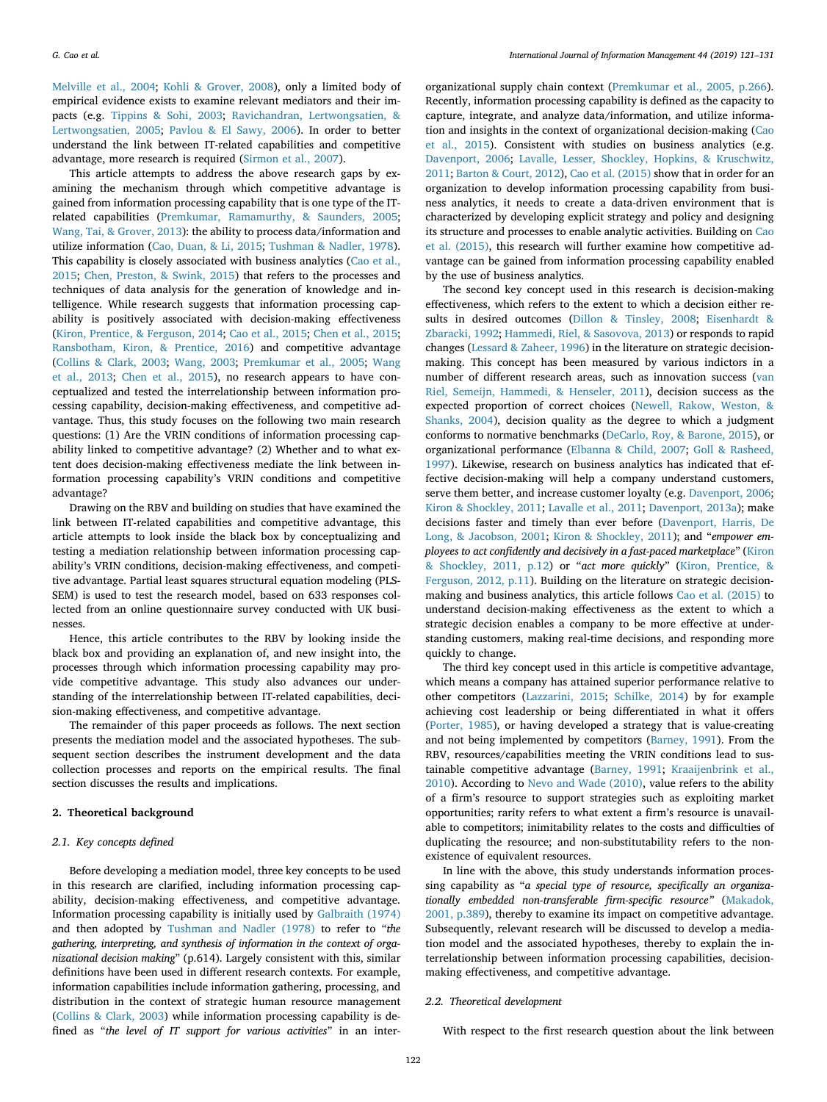Melville et al., 2004; Kohli & Grover, 2008), only a limited body of empirical evidence exists to examine relevant mediators and their impacts (e.g. Tippins & Sohi, 2003; Ravichandran, Lertwongsatien, & Lertwongsatien, 2005; Pavlou & El Sawy, 2006). In order to better understand the link between IT-related capabilities and competitive advantage, more research is required (Sirmon et al., 2007).

This article attempts to address the above research gaps by examining the mechanism through which competitive advantage is gained from information processing capability that is one type of the ITrelated capabilities (Premkumar, Ramamurthy, & Saunders, 2005; Wang, Tai, & Grover, 2013): the ability to process data/information and utilize information (Cao, Duan, & Li, 2015; Tushman & Nadler, 1978). This capability is closely associated with business analytics (Cao et al., 2015; Chen, Preston, & Swink, 2015) that refers to the processes and techniques of data analysis for the generation of knowledge and intelligence. While research suggests that information processing capability is positively associated with decision-making effectiveness (Kiron, Prentice, & Ferguson, 2014; Cao et al., 2015; Chen et al., 2015; Ransbotham, Kiron, & Prentice, 2016) and competitive advantage (Collins & Clark, 2003; Wang, 2003; Premkumar et al., 2005; Wang et al., 2013; Chen et al., 2015), no research appears to have conceptualized and tested the interrelationship between information processing capability, decision-making effectiveness, and competitive advantage. Thus, this study focuses on the following two main research questions: (1) Are the VRIN conditions of information processing capability linked to competitive advantage? (2) Whether and to what extent does decision-making effectiveness mediate the link between information processing capability's VRIN conditions and competitive advantage?

Drawing on the RBV and building on studies that have examined the link between IT-related capabilities and competitive advantage, this article attempts to look inside the black box by conceptualizing and testing a mediation relationship between information processing capability's VRIN conditions, decision-making effectiveness, and competitive advantage. Partial least squares structural equation modeling (PLS-SEM) is used to test the research model, based on 633 responses collected from an online questionnaire survey conducted with UK businesses.

Hence, this article contributes to the RBV by looking inside the black box and providing an explanation of, and new insight into, the processes through which information processing capability may provide competitive advantage. This study also advances our understanding of the interrelationship between IT-related capabilities, decision-making effectiveness, and competitive advantage.

The remainder of this paper proceeds as follows. The next section presents the mediation model and the associated hypotheses. The subsequent section describes the instrument development and the data collection processes and reports on the empirical results. The final section discusses the results and implications.

# 2. Theoretical background

# *2.1. Key concepts de*fi*ned*

Before developing a mediation model, three key concepts to be used in this research are clarified, including information processing capability, decision-making effectiveness, and competitive advantage. Information processing capability is initially used by Galbraith (1974) and then adopted by Tushman and Nadler (1978) to refer to "*the gathering, interpreting, and synthesis of information in the context of organizational decision making*" (p.614). Largely consistent with this, similar definitions have been used in different research contexts. For example, information capabilities include information gathering, processing, and distribution in the context of strategic human resource management (Collins & Clark, 2003) while information processing capability is defined as "*the level of IT support for various activities*" in an inter-

organizational supply chain context (Premkumar et al., 2005, p.266). Recently, information processing capability is defined as the capacity to capture, integrate, and analyze data/information, and utilize information and insights in the context of organizational decision-making (Cao et al., 2015). Consistent with studies on business analytics (e.g. Davenport, 2006; Lavalle, Lesser, Shockley, Hopkins, & Kruschwitz, 2011; Barton & Court, 2012), Cao et al. (2015) show that in order for an organization to develop information processing capability from business analytics, it needs to create a data-driven environment that is characterized by developing explicit strategy and policy and designing its structure and processes to enable analytic activities. Building on Cao et al. (2015), this research will further examine how competitive advantage can be gained from information processing capability enabled by the use of business analytics.

The second key concept used in this research is decision-making effectiveness, which refers to the extent to which a decision either results in desired outcomes (Dillon & Tinsley, 2008; Eisenhardt & Zbaracki, 1992; Hammedi, Riel, & Sasovova, 2013) or responds to rapid changes (Lessard & Zaheer, 1996) in the literature on strategic decisionmaking. This concept has been measured by various indictors in a number of different research areas, such as innovation success (van Riel, Semeijn, Hammedi, & Henseler, 2011), decision success as the expected proportion of correct choices (Newell, Rakow, Weston, & Shanks, 2004), decision quality as the degree to which a judgment conforms to normative benchmarks (DeCarlo, Roy, & Barone, 2015), or organizational performance (Elbanna & Child, 2007; Goll & Rasheed, 1997). Likewise, research on business analytics has indicated that effective decision-making will help a company understand customers, serve them better, and increase customer loyalty (e.g. Davenport, 2006; Kiron & Shockley, 2011; Lavalle et al., 2011; Davenport, 2013a); make decisions faster and timely than ever before (Davenport, Harris, De Long, & Jacobson, 2001; Kiron & Shockley, 2011); and "*empower employees to act con*fi*dently and decisively in a fast-paced marketplace*" (Kiron & Shockley, 2011, p.12) or "*act more quickly*" (Kiron, Prentice, & Ferguson, 2012, p.11). Building on the literature on strategic decisionmaking and business analytics, this article follows Cao et al. (2015) to understand decision-making effectiveness as the extent to which a strategic decision enables a company to be more effective at understanding customers, making real-time decisions, and responding more quickly to change.

The third key concept used in this article is competitive advantage, which means a company has attained superior performance relative to other competitors (Lazzarini, 2015; Schilke, 2014) by for example achieving cost leadership or being differentiated in what it offers (Porter, 1985), or having developed a strategy that is value-creating and not being implemented by competitors (Barney, 1991). From the RBV, resources/capabilities meeting the VRIN conditions lead to sustainable competitive advantage (Barney, 1991; Kraaijenbrink et al., 2010). According to Nevo and Wade (2010), value refers to the ability of a firm's resource to support strategies such as exploiting market opportunities; rarity refers to what extent a firm's resource is unavailable to competitors; inimitability relates to the costs and difficulties of duplicating the resource; and non-substitutability refers to the nonexistence of equivalent resources.

In line with the above, this study understands information processing capability as "*a special type of resource, speci*fi*cally an organizationally embedded non-transferable* fi*rm-speci*fi*c resource*" (Makadok, 2001, p.389), thereby to examine its impact on competitive advantage. Subsequently, relevant research will be discussed to develop a mediation model and the associated hypotheses, thereby to explain the interrelationship between information processing capabilities, decisionmaking effectiveness, and competitive advantage.

#### *2.2. Theoretical development*

With respect to the first research question about the link between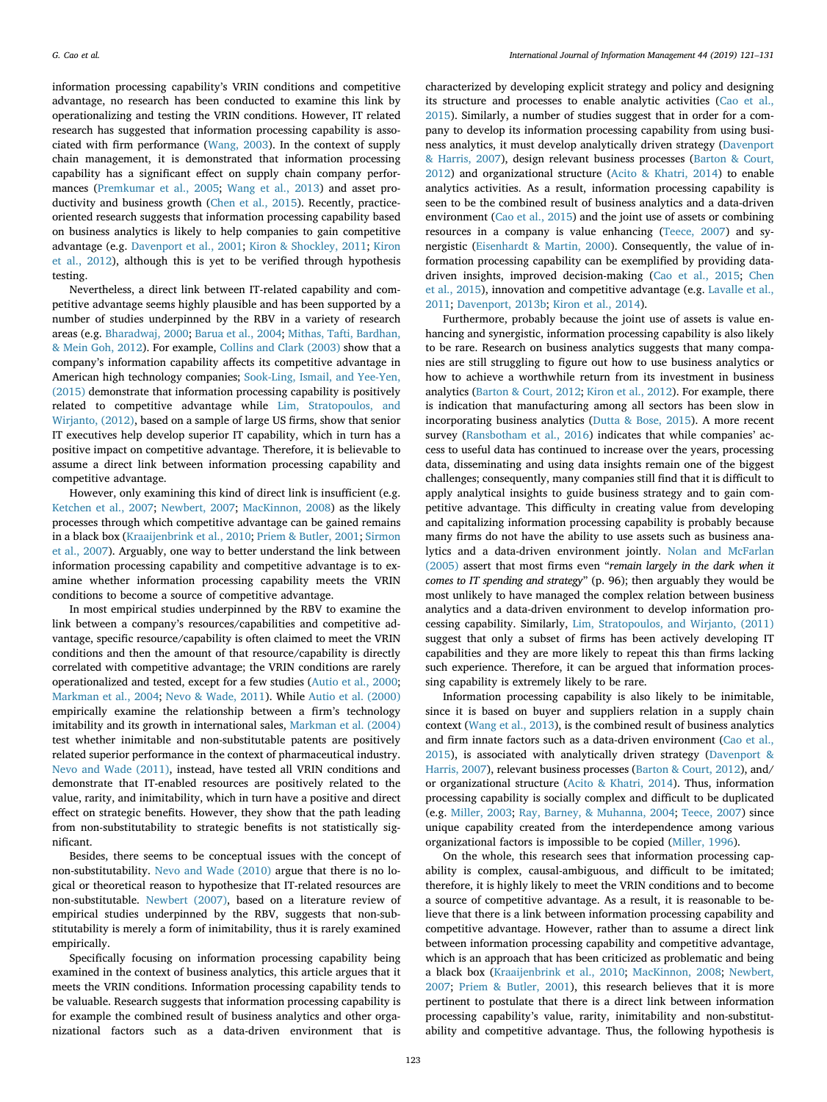information processing capability's VRIN conditions and competitive advantage, no research has been conducted to examine this link by operationalizing and testing the VRIN conditions. However, IT related research has suggested that information processing capability is associated with firm performance (Wang, 2003). In the context of supply chain management, it is demonstrated that information processing capability has a significant effect on supply chain company performances (Premkumar et al., 2005; Wang et al., 2013) and asset productivity and business growth (Chen et al., 2015). Recently, practiceoriented research suggests that information processing capability based on business analytics is likely to help companies to gain competitive advantage (e.g. Davenport et al., 2001; Kiron & Shockley, 2011; Kiron et al., 2012), although this is yet to be verified through hypothesis testing.

Nevertheless, a direct link between IT-related capability and competitive advantage seems highly plausible and has been supported by a number of studies underpinned by the RBV in a variety of research areas (e.g. Bharadwaj, 2000; Barua et al., 2004; Mithas, Tafti, Bardhan, & Mein Goh, 2012). For example, Collins and Clark (2003) show that a company's information capability affects its competitive advantage in American high technology companies; Sook-Ling, Ismail, and Yee-Yen, (2015) demonstrate that information processing capability is positively related to competitive advantage while Lim, Stratopoulos, and Wirjanto, (2012), based on a sample of large US firms, show that senior IT executives help develop superior IT capability, which in turn has a positive impact on competitive advantage. Therefore, it is believable to assume a direct link between information processing capability and competitive advantage.

However, only examining this kind of direct link is insufficient (e.g. Ketchen et al., 2007; Newbert, 2007; MacKinnon, 2008) as the likely processes through which competitive advantage can be gained remains in a black box (Kraaijenbrink et al., 2010; Priem & Butler, 2001; Sirmon et al., 2007). Arguably, one way to better understand the link between information processing capability and competitive advantage is to examine whether information processing capability meets the VRIN conditions to become a source of competitive advantage.

In most empirical studies underpinned by the RBV to examine the link between a company's resources/capabilities and competitive advantage, specific resource/capability is often claimed to meet the VRIN conditions and then the amount of that resource/capability is directly correlated with competitive advantage; the VRIN conditions are rarely operationalized and tested, except for a few studies (Autio et al., 2000; Markman et al., 2004; Nevo & Wade, 2011). While Autio et al. (2000) empirically examine the relationship between a firm's technology imitability and its growth in international sales, Markman et al. (2004) test whether inimitable and non-substitutable patents are positively related superior performance in the context of pharmaceutical industry. Nevo and Wade (2011), instead, have tested all VRIN conditions and demonstrate that IT-enabled resources are positively related to the value, rarity, and inimitability, which in turn have a positive and direct effect on strategic benefits. However, they show that the path leading from non-substitutability to strategic benefits is not statistically significant.

Besides, there seems to be conceptual issues with the concept of non-substitutability. Nevo and Wade (2010) argue that there is no logical or theoretical reason to hypothesize that IT-related resources are non-substitutable. Newbert (2007), based on a literature review of empirical studies underpinned by the RBV, suggests that non-substitutability is merely a form of inimitability, thus it is rarely examined empirically.

Specifically focusing on information processing capability being examined in the context of business analytics, this article argues that it meets the VRIN conditions. Information processing capability tends to be valuable. Research suggests that information processing capability is for example the combined result of business analytics and other organizational factors such as a data-driven environment that is

characterized by developing explicit strategy and policy and designing its structure and processes to enable analytic activities (Cao et al., 2015). Similarly, a number of studies suggest that in order for a company to develop its information processing capability from using business analytics, it must develop analytically driven strategy (Davenport & Harris, 2007), design relevant business processes (Barton & Court, 2012) and organizational structure (Acito & Khatri, 2014) to enable analytics activities. As a result, information processing capability is seen to be the combined result of business analytics and a data-driven environment (Cao et al., 2015) and the joint use of assets or combining resources in a company is value enhancing (Teece, 2007) and synergistic (Eisenhardt & Martin, 2000). Consequently, the value of information processing capability can be exemplified by providing datadriven insights, improved decision-making (Cao et al., 2015; Chen et al., 2015), innovation and competitive advantage (e.g. Lavalle et al., 2011; Davenport, 2013b; Kiron et al., 2014).

Furthermore, probably because the joint use of assets is value enhancing and synergistic, information processing capability is also likely to be rare. Research on business analytics suggests that many companies are still struggling to figure out how to use business analytics or how to achieve a worthwhile return from its investment in business analytics (Barton & Court, 2012; Kiron et al., 2012). For example, there is indication that manufacturing among all sectors has been slow in incorporating business analytics (Dutta & Bose, 2015). A more recent survey (Ransbotham et al., 2016) indicates that while companies' access to useful data has continued to increase over the years, processing data, disseminating and using data insights remain one of the biggest challenges; consequently, many companies still find that it is difficult to apply analytical insights to guide business strategy and to gain competitive advantage. This difficulty in creating value from developing and capitalizing information processing capability is probably because many firms do not have the ability to use assets such as business analytics and a data-driven environment jointly. Nolan and McFarlan (2005) assert that most firms even "*remain largely in the dark when it comes to IT spending and strategy*" (p. 96); then arguably they would be most unlikely to have managed the complex relation between business analytics and a data-driven environment to develop information processing capability. Similarly, Lim, Stratopoulos, and Wirjanto, (2011) suggest that only a subset of firms has been actively developing IT capabilities and they are more likely to repeat this than firms lacking such experience. Therefore, it can be argued that information processing capability is extremely likely to be rare.

Information processing capability is also likely to be inimitable, since it is based on buyer and suppliers relation in a supply chain context (Wang et al., 2013), is the combined result of business analytics and firm innate factors such as a data-driven environment (Cao et al., 2015), is associated with analytically driven strategy (Davenport & Harris, 2007), relevant business processes (Barton & Court, 2012), and/ or organizational structure (Acito & Khatri, 2014). Thus, information processing capability is socially complex and difficult to be duplicated (e.g. Miller, 2003; Ray, Barney, & Muhanna, 2004; Teece, 2007) since unique capability created from the interdependence among various organizational factors is impossible to be copied (Miller, 1996).

On the whole, this research sees that information processing capability is complex, causal-ambiguous, and difficult to be imitated; therefore, it is highly likely to meet the VRIN conditions and to become a source of competitive advantage. As a result, it is reasonable to believe that there is a link between information processing capability and competitive advantage. However, rather than to assume a direct link between information processing capability and competitive advantage, which is an approach that has been criticized as problematic and being a black box (Kraaijenbrink et al., 2010; MacKinnon, 2008; Newbert, 2007; Priem & Butler, 2001), this research believes that it is more pertinent to postulate that there is a direct link between information processing capability's value, rarity, inimitability and non-substitutability and competitive advantage. Thus, the following hypothesis is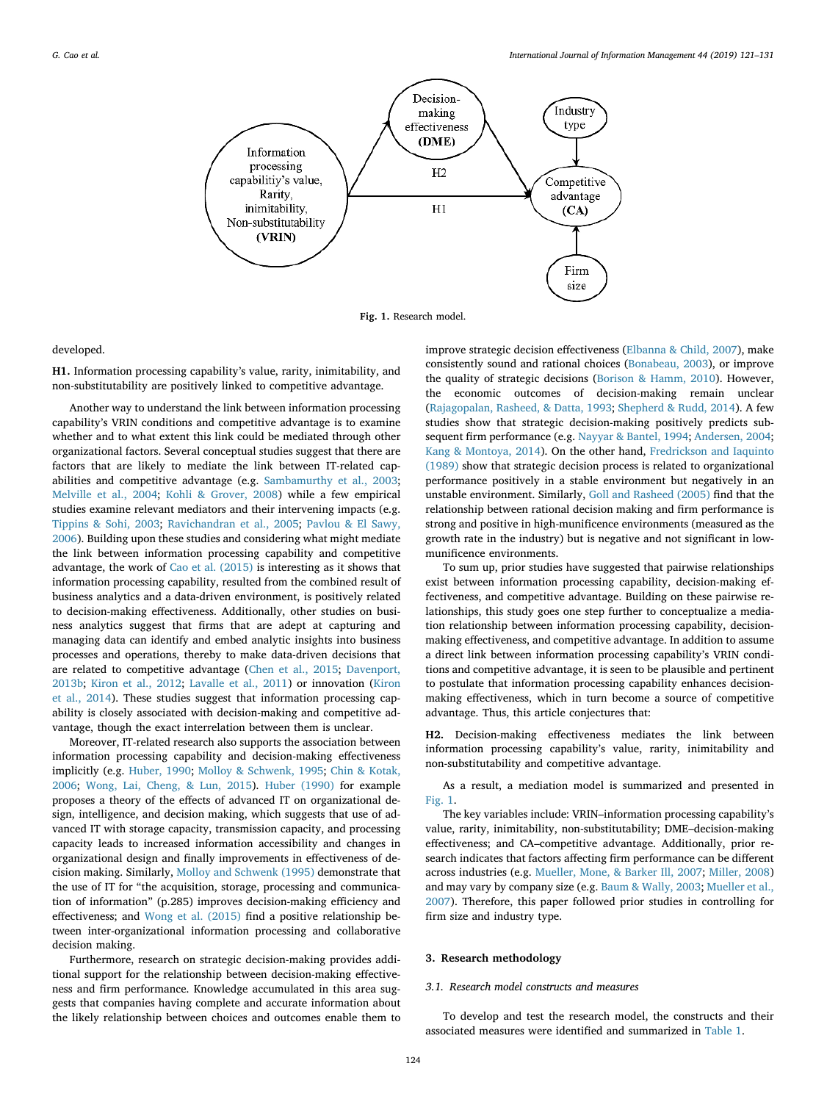

Fig. 1. Research model.

developed.

H1. Information processing capability's value, rarity, inimitability, and non-substitutability are positively linked to competitive advantage.

Another way to understand the link between information processing capability's VRIN conditions and competitive advantage is to examine whether and to what extent this link could be mediated through other organizational factors. Several conceptual studies suggest that there are factors that are likely to mediate the link between IT-related capabilities and competitive advantage (e.g. Sambamurthy et al., 2003; Melville et al., 2004; Kohli & Grover, 2008) while a few empirical studies examine relevant mediators and their intervening impacts (e.g. Tippins & Sohi, 2003; Ravichandran et al., 2005; Pavlou & El Sawy, 2006). Building upon these studies and considering what might mediate the link between information processing capability and competitive advantage, the work of Cao et al. (2015) is interesting as it shows that information processing capability, resulted from the combined result of business analytics and a data-driven environment, is positively related to decision-making effectiveness. Additionally, other studies on business analytics suggest that firms that are adept at capturing and managing data can identify and embed analytic insights into business processes and operations, thereby to make data-driven decisions that are related to competitive advantage (Chen et al., 2015; Davenport, 2013b; Kiron et al., 2012; Lavalle et al., 2011) or innovation (Kiron et al., 2014). These studies suggest that information processing capability is closely associated with decision-making and competitive advantage, though the exact interrelation between them is unclear.

Moreover, IT-related research also supports the association between information processing capability and decision-making effectiveness implicitly (e.g. Huber, 1990; Molloy & Schwenk, 1995; Chin & Kotak, 2006; Wong, Lai, Cheng, & Lun, 2015). Huber (1990) for example proposes a theory of the effects of advanced IT on organizational design, intelligence, and decision making, which suggests that use of advanced IT with storage capacity, transmission capacity, and processing capacity leads to increased information accessibility and changes in organizational design and finally improvements in effectiveness of decision making. Similarly, Molloy and Schwenk (1995) demonstrate that the use of IT for "the acquisition, storage, processing and communication of information" (p.285) improves decision-making efficiency and effectiveness; and Wong et al. (2015) find a positive relationship between inter-organizational information processing and collaborative decision making.

Furthermore, research on strategic decision-making provides additional support for the relationship between decision-making effectiveness and firm performance. Knowledge accumulated in this area suggests that companies having complete and accurate information about the likely relationship between choices and outcomes enable them to

improve strategic decision effectiveness (Elbanna & Child, 2007), make consistently sound and rational choices (Bonabeau, 2003), or improve the quality of strategic decisions (Borison & Hamm, 2010). However, the economic outcomes of decision-making remain unclear (Rajagopalan, Rasheed, & Datta, 1993; Shepherd & Rudd, 2014). A few studies show that strategic decision-making positively predicts subsequent firm performance (e.g. Nayyar & Bantel, 1994; Andersen, 2004; Kang & Montoya, 2014). On the other hand, Fredrickson and Iaquinto (1989) show that strategic decision process is related to organizational performance positively in a stable environment but negatively in an unstable environment. Similarly, Goll and Rasheed (2005) find that the relationship between rational decision making and firm performance is strong and positive in high-munificence environments (measured as the growth rate in the industry) but is negative and not significant in lowmunificence environments.

To sum up, prior studies have suggested that pairwise relationships exist between information processing capability, decision-making effectiveness, and competitive advantage. Building on these pairwise relationships, this study goes one step further to conceptualize a mediation relationship between information processing capability, decisionmaking effectiveness, and competitive advantage. In addition to assume a direct link between information processing capability's VRIN conditions and competitive advantage, it is seen to be plausible and pertinent to postulate that information processing capability enhances decisionmaking effectiveness, which in turn become a source of competitive advantage. Thus, this article conjectures that:

H2. Decision-making effectiveness mediates the link between information processing capability's value, rarity, inimitability and non-substitutability and competitive advantage.

As a result, a mediation model is summarized and presented in Fig. 1.

The key variables include: VRIN–information processing capability's value, rarity, inimitability, non-substitutability; DME–decision-making effectiveness; and CA–competitive advantage. Additionally, prior research indicates that factors affecting firm performance can be different across industries (e.g. Mueller, Mone, & Barker Ill, 2007; Miller, 2008) and may vary by company size (e.g. Baum & Wally, 2003; Mueller et al., 2007). Therefore, this paper followed prior studies in controlling for firm size and industry type.

#### 3. Research methodology

#### *3.1. Research model constructs and measures*

To develop and test the research model, the constructs and their associated measures were identified and summarized in Table 1.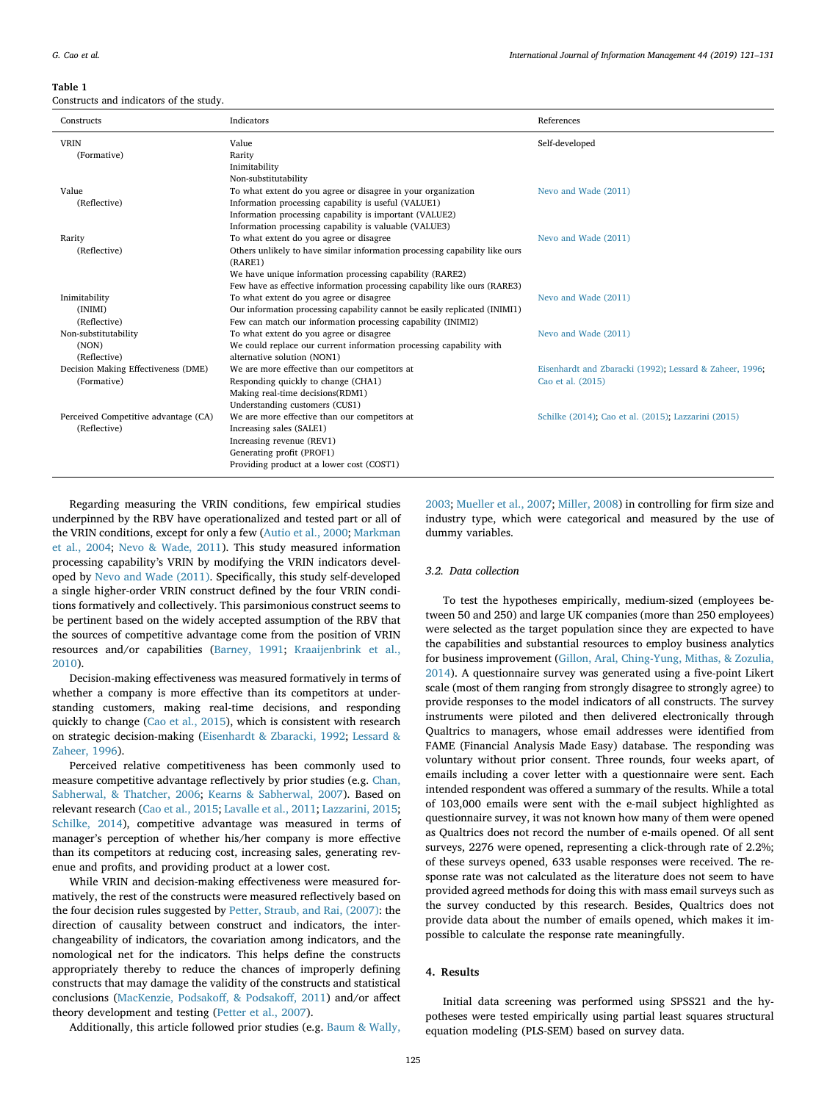#### Table 1

Constructs and indicators of the study.

| Constructs                           | Indicators                                                                  | References                                              |
|--------------------------------------|-----------------------------------------------------------------------------|---------------------------------------------------------|
| <b>VRIN</b>                          | Value                                                                       | Self-developed                                          |
| (Formative)                          | Rarity                                                                      |                                                         |
|                                      | Inimitability                                                               |                                                         |
|                                      | Non-substitutability                                                        |                                                         |
| Value                                | To what extent do you agree or disagree in your organization                | Nevo and Wade (2011)                                    |
| (Reflective)                         | Information processing capability is useful (VALUE1)                        |                                                         |
|                                      | Information processing capability is important (VALUE2)                     |                                                         |
|                                      | Information processing capability is valuable (VALUE3)                      |                                                         |
| Rarity                               | To what extent do you agree or disagree                                     | Nevo and Wade (2011)                                    |
| (Reflective)                         | Others unlikely to have similar information processing capability like ours |                                                         |
|                                      | (RARE1)                                                                     |                                                         |
|                                      | We have unique information processing capability (RARE2)                    |                                                         |
|                                      | Few have as effective information processing capability like ours (RARE3)   |                                                         |
| Inimitability                        | To what extent do you agree or disagree                                     | Nevo and Wade (2011)                                    |
| (INIMI)                              | Our information processing capability cannot be easily replicated (INIMI1)  |                                                         |
| (Reflective)                         | Few can match our information processing capability (INIMI2)                |                                                         |
| Non-substitutability                 | To what extent do you agree or disagree                                     | Nevo and Wade (2011)                                    |
| (NON)                                | We could replace our current information processing capability with         |                                                         |
| (Reflective)                         | alternative solution (NON1)                                                 |                                                         |
| Decision Making Effectiveness (DME)  | We are more effective than our competitors at                               | Eisenhardt and Zbaracki (1992); Lessard & Zaheer, 1996; |
| (Formative)                          | Responding quickly to change (CHA1)                                         | Cao et al. (2015)                                       |
|                                      | Making real-time decisions(RDM1)                                            |                                                         |
|                                      | Understanding customers (CUS1)                                              |                                                         |
| Perceived Competitive advantage (CA) | We are more effective than our competitors at                               | Schilke (2014); Cao et al. (2015); Lazzarini (2015)     |
| (Reflective)                         | Increasing sales (SALE1)                                                    |                                                         |
|                                      | Increasing revenue (REV1)                                                   |                                                         |
|                                      | Generating profit (PROF1)                                                   |                                                         |
|                                      | Providing product at a lower cost (COST1)                                   |                                                         |

Regarding measuring the VRIN conditions, few empirical studies underpinned by the RBV have operationalized and tested part or all of the VRIN conditions, except for only a few (Autio et al., 2000; Markman et al., 2004; Nevo & Wade, 2011). This study measured information processing capability's VRIN by modifying the VRIN indicators developed by Nevo and Wade (2011). Specifically, this study self-developed a single higher-order VRIN construct defined by the four VRIN conditions formatively and collectively. This parsimonious construct seems to be pertinent based on the widely accepted assumption of the RBV that the sources of competitive advantage come from the position of VRIN resources and/or capabilities (Barney, 1991; Kraaijenbrink et al., 2010).

Decision-making effectiveness was measured formatively in terms of whether a company is more effective than its competitors at understanding customers, making real-time decisions, and responding quickly to change (Cao et al., 2015), which is consistent with research on strategic decision-making (Eisenhardt & Zbaracki, 1992; Lessard & Zaheer, 1996).

Perceived relative competitiveness has been commonly used to measure competitive advantage reflectively by prior studies (e.g. Chan, Sabherwal, & Thatcher, 2006; Kearns & Sabherwal, 2007). Based on relevant research (Cao et al., 2015; Lavalle et al., 2011; Lazzarini, 2015; Schilke, 2014), competitive advantage was measured in terms of manager's perception of whether his/her company is more effective than its competitors at reducing cost, increasing sales, generating revenue and profits, and providing product at a lower cost.

While VRIN and decision-making effectiveness were measured formatively, the rest of the constructs were measured reflectively based on the four decision rules suggested by Petter, Straub, and Rai, (2007): the direction of causality between construct and indicators, the interchangeability of indicators, the covariation among indicators, and the nomological net for the indicators. This helps define the constructs appropriately thereby to reduce the chances of improperly defining constructs that may damage the validity of the constructs and statistical conclusions (MacKenzie, Podsakoff, & Podsakoff, 2011) and/or affect theory development and testing (Petter et al., 2007).

Additionally, this article followed prior studies (e.g. Baum & Wally,

2003; Mueller et al., 2007; Miller, 2008) in controlling for firm size and industry type, which were categorical and measured by the use of dummy variables.

# *3.2. Data collection*

To test the hypotheses empirically, medium-sized (employees between 50 and 250) and large UK companies (more than 250 employees) were selected as the target population since they are expected to have the capabilities and substantial resources to employ business analytics for business improvement (Gillon, Aral, Ching-Yung, Mithas, & Zozulia, 2014). A questionnaire survey was generated using a five-point Likert scale (most of them ranging from strongly disagree to strongly agree) to provide responses to the model indicators of all constructs. The survey instruments were piloted and then delivered electronically through Qualtrics to managers, whose email addresses were identified from FAME (Financial Analysis Made Easy) database. The responding was voluntary without prior consent. Three rounds, four weeks apart, of emails including a cover letter with a questionnaire were sent. Each intended respondent was offered a summary of the results. While a total of 103,000 emails were sent with the e-mail subject highlighted as questionnaire survey, it was not known how many of them were opened as Qualtrics does not record the number of e-mails opened. Of all sent surveys, 2276 were opened, representing a click-through rate of 2.2%; of these surveys opened, 633 usable responses were received. The response rate was not calculated as the literature does not seem to have provided agreed methods for doing this with mass email surveys such as the survey conducted by this research. Besides, Qualtrics does not provide data about the number of emails opened, which makes it impossible to calculate the response rate meaningfully.

# 4. Results

Initial data screening was performed using SPSS21 and the hypotheses were tested empirically using partial least squares structural equation modeling (PLS-SEM) based on survey data.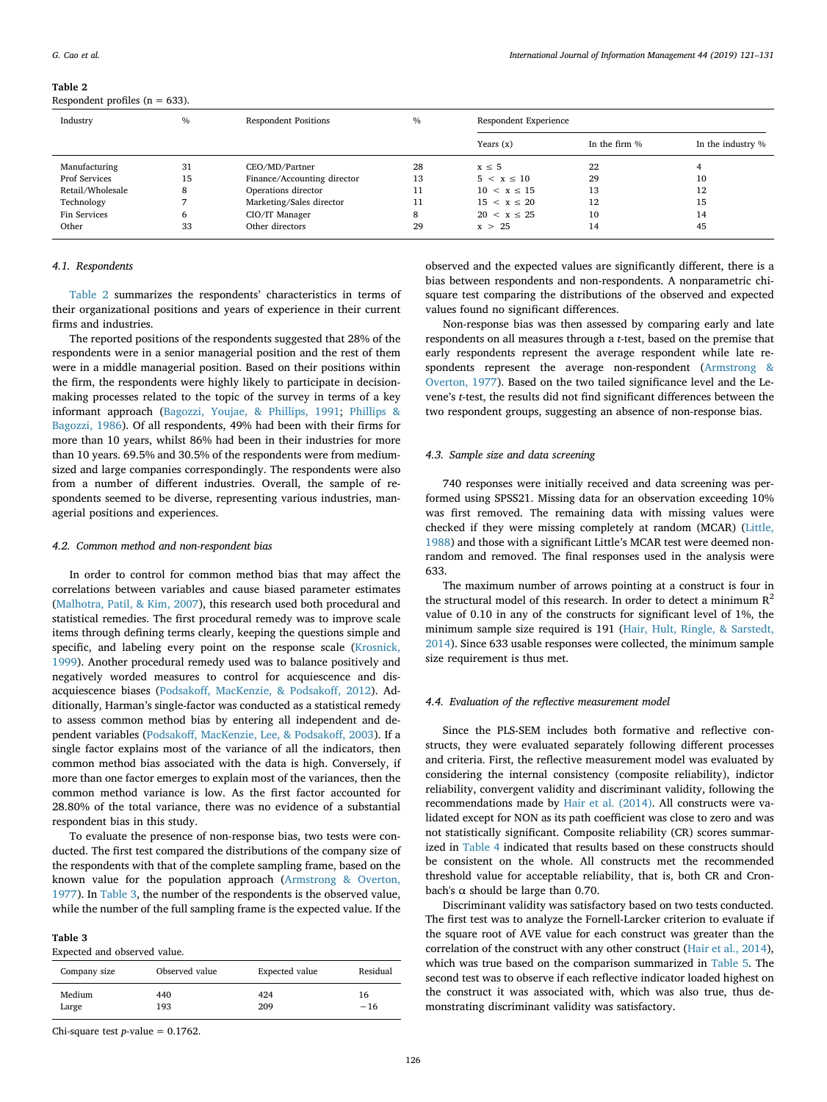# Table 2

Respondent profiles ( $n = 633$ ).

| Industry             | $\frac{0}{0}$ | <b>Respondent Positions</b> | $\%$ |                  | Respondent Experience |                   |  |
|----------------------|---------------|-----------------------------|------|------------------|-----------------------|-------------------|--|
|                      |               |                             |      | Years $(x)$      | In the firm %         | In the industry % |  |
| Manufacturing        | 31            | CEO/MD/Partner              | 28   | $x \leq 5$       | 22                    |                   |  |
| <b>Prof Services</b> | 15            | Finance/Accounting director | 13   | $5 < x \leq 10$  | 29                    | 10                |  |
| Retail/Wholesale     | 8             | Operations director         | 11   | $10 < x \le 15$  | 13                    | 12                |  |
| Technology           |               | Marketing/Sales director    | 11   | $15 < x \leq 20$ | 12                    | 15                |  |
| Fin Services         | 6             | CIO/IT Manager              | 8    | 20 < x < 25      | 10                    | 14                |  |
| Other                | 33            | Other directors             | 29   | x > 25           | 14                    | 45                |  |

# *4.1. Respondents*

Table 2 summarizes the respondents' characteristics in terms of their organizational positions and years of experience in their current firms and industries.

The reported positions of the respondents suggested that 28% of the respondents were in a senior managerial position and the rest of them were in a middle managerial position. Based on their positions within the firm, the respondents were highly likely to participate in decisionmaking processes related to the topic of the survey in terms of a key informant approach (Bagozzi, Youjae, & Phillips, 1991; Phillips & Bagozzi, 1986). Of all respondents, 49% had been with their firms for more than 10 years, whilst 86% had been in their industries for more than 10 years. 69.5% and 30.5% of the respondents were from mediumsized and large companies correspondingly. The respondents were also from a number of different industries. Overall, the sample of respondents seemed to be diverse, representing various industries, managerial positions and experiences.

# *4.2. Common method and non-respondent bias*

In order to control for common method bias that may affect the correlations between variables and cause biased parameter estimates (Malhotra, Patil, & Kim, 2007), this research used both procedural and statistical remedies. The first procedural remedy was to improve scale items through defining terms clearly, keeping the questions simple and specific, and labeling every point on the response scale (Krosnick, 1999). Another procedural remedy used was to balance positively and negatively worded measures to control for acquiescence and disacquiescence biases (Podsakoff, MacKenzie, & Podsakoff, 2012). Additionally, Harman's single-factor was conducted as a statistical remedy to assess common method bias by entering all independent and dependent variables (Podsakoff, MacKenzie, Lee, & Podsakoff, 2003). If a single factor explains most of the variance of all the indicators, then common method bias associated with the data is high. Conversely, if more than one factor emerges to explain most of the variances, then the common method variance is low. As the first factor accounted for 28.80% of the total variance, there was no evidence of a substantial respondent bias in this study.

To evaluate the presence of non-response bias, two tests were conducted. The first test compared the distributions of the company size of the respondents with that of the complete sampling frame, based on the known value for the population approach (Armstrong & Overton, 1977). In Table 3, the number of the respondents is the observed value, while the number of the full sampling frame is the expected value. If the

#### Table 3 Expected and observed value.

| Company size | Observed value | Expected value | Residual |
|--------------|----------------|----------------|----------|
| Medium       | 440            | 424            | 16       |
| Large        | 193            | 209            | $-16$    |

Chi-square test  $p$ -value = 0.1762.

observed and the expected values are significantly different, there is a bias between respondents and non-respondents. A nonparametric chisquare test comparing the distributions of the observed and expected values found no significant differences.

Non-response bias was then assessed by comparing early and late respondents on all measures through a *t*-test, based on the premise that early respondents represent the average respondent while late respondents represent the average non-respondent (Armstrong & Overton, 1977). Based on the two tailed significance level and the Levene's *t*-test, the results did not find significant differences between the two respondent groups, suggesting an absence of non-response bias.

#### *4.3. Sample size and data screening*

740 responses were initially received and data screening was performed using SPSS21. Missing data for an observation exceeding 10% was first removed. The remaining data with missing values were checked if they were missing completely at random (MCAR) (Little, 1988) and those with a significant Little's MCAR test were deemed nonrandom and removed. The final responses used in the analysis were 633.

The maximum number of arrows pointing at a construct is four in the structural model of this research. In order to detect a minimum  $R^2$ value of 0.10 in any of the constructs for significant level of 1%, the minimum sample size required is 191 (Hair, Hult, Ringle, & Sarstedt, 2014). Since 633 usable responses were collected, the minimum sample size requirement is thus met.

# *4.4. Evaluation of the re*fl*ective measurement model*

Since the PLS-SEM includes both formative and reflective constructs, they were evaluated separately following different processes and criteria. First, the reflective measurement model was evaluated by considering the internal consistency (composite reliability), indictor reliability, convergent validity and discriminant validity, following the recommendations made by Hair et al. (2014). All constructs were validated except for NON as its path coefficient was close to zero and was not statistically significant. Composite reliability (CR) scores summarized in Table 4 indicated that results based on these constructs should be consistent on the whole. All constructs met the recommended threshold value for acceptable reliability, that is, both CR and Cronbach's  $\alpha$  should be large than 0.70.

Discriminant validity was satisfactory based on two tests conducted. The first test was to analyze the Fornell-Larcker criterion to evaluate if the square root of AVE value for each construct was greater than the correlation of the construct with any other construct (Hair et al., 2014), which was true based on the comparison summarized in Table 5. The second test was to observe if each reflective indicator loaded highest on the construct it was associated with, which was also true, thus demonstrating discriminant validity was satisfactory.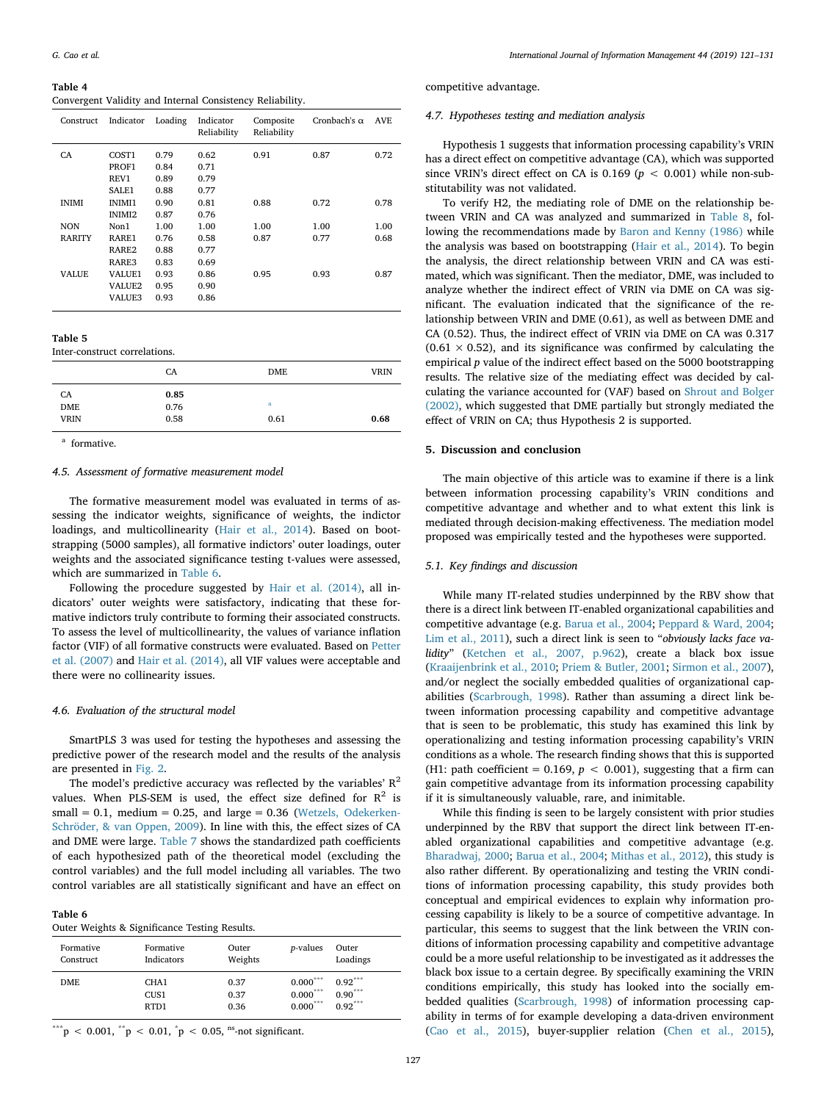Table 4 Convergent Validity and Internal Consistency Reliability.

| Construct     | Indicator         | Loading | Indicator<br>Reliability | Composite<br>Reliability | Cronbach's $\alpha$ | AVE  |
|---------------|-------------------|---------|--------------------------|--------------------------|---------------------|------|
| CA.           | COST1             | 0.79    | 0.62                     | 0.91                     | 0.87                | 0.72 |
|               | PROF1             | 0.84    | 0.71                     |                          |                     |      |
|               | REV1              | 0.89    | 0.79                     |                          |                     |      |
|               | SALE1             | 0.88    | 0.77                     |                          |                     |      |
| <b>INIMI</b>  | <b>INIMI1</b>     | 0.90    | 0.81                     | 0.88                     | 0.72                | 0.78 |
|               | INIMI2            | 0.87    | 0.76                     |                          |                     |      |
| <b>NON</b>    | Non1              | 1.00    | 1.00                     | 1.00                     | 1.00                | 1.00 |
| <b>RARITY</b> | RARE1             | 0.76    | 0.58                     | 0.87                     | 0.77                | 0.68 |
|               | RARE <sub>2</sub> | 0.88    | 0.77                     |                          |                     |      |
|               | RARE3             | 0.83    | 0.69                     |                          |                     |      |
| <b>VALUE</b>  | VALUE1            | 0.93    | 0.86                     | 0.95                     | 0.93                | 0.87 |
|               | VALUE2            | 0.95    | 0.90                     |                          |                     |      |
|               | <b>VALUE3</b>     | 0.93    | 0.86                     |                          |                     |      |
|               |                   |         |                          |                          |                     |      |

Table 5

Inter-construct correlations.

|             | CA   | <b>DME</b> | <b>VRIN</b> |
|-------------|------|------------|-------------|
| CA          | 0.85 |            |             |
| <b>DME</b>  | 0.76 | a          |             |
| <b>VRIN</b> | 0.58 | 0.61       | 0.68        |

a formative.

#### *4.5. Assessment of formative measurement model*

The formative measurement model was evaluated in terms of assessing the indicator weights, significance of weights, the indictor loadings, and multicollinearity (Hair et al., 2014). Based on bootstrapping (5000 samples), all formative indictors' outer loadings, outer weights and the associated significance testing t-values were assessed, which are summarized in Table 6.

Following the procedure suggested by Hair et al. (2014), all indicators' outer weights were satisfactory, indicating that these formative indictors truly contribute to forming their associated constructs. To assess the level of multicollinearity, the values of variance inflation factor (VIF) of all formative constructs were evaluated. Based on Petter et al. (2007) and Hair et al. (2014), all VIF values were acceptable and there were no collinearity issues.

#### *4.6. Evaluation of the structural model*

SmartPLS 3 was used for testing the hypotheses and assessing the predictive power of the research model and the results of the analysis are presented in Fig. 2.

The model's predictive accuracy was reflected by the variables'  $R^2$ values. When PLS-SEM is used, the effect size defined for  $R^2$  is small =  $0.1$ , medium =  $0.25$ , and large =  $0.36$  (Wetzels, Odekerken-Schröder, & van Oppen, 2009). In line with this, the effect sizes of CA and DME were large. Table 7 shows the standardized path coefficients of each hypothesized path of the theoretical model (excluding the control variables) and the full model including all variables. The two control variables are all statistically significant and have an effect on

Table 6

Outer Weights & Significance Testing Results.

| Formative | Formative        | Outer   | <i>p</i> -values | Outer     |
|-----------|------------------|---------|------------------|-----------|
| Construct | Indicators       | Weights |                  | Loadings  |
| DME.      | CHA <sub>1</sub> | 0.37    | $0.000***$       | $0.92***$ |
|           | CUS <sub>1</sub> | 0.37    | $0.000***$       | $0.90***$ |
|           | RTD1             | 0.36    | $0.000***$       | $0.92***$ |

\*\*\*p < 0.001,  ${}^{**}p$  < 0.01,  ${}^{*}p$  < 0.05, <sup>ns</sup>-not significant.

competitive advantage.

# *4.7. Hypotheses testing and mediation analysis*

Hypothesis 1 suggests that information processing capability's VRIN has a direct effect on competitive advantage (CA), which was supported since VRIN's direct effect on CA is  $0.169$  ( $p < 0.001$ ) while non-substitutability was not validated.

To verify H2, the mediating role of DME on the relationship between VRIN and CA was analyzed and summarized in Table 8, following the recommendations made by Baron and Kenny (1986) while the analysis was based on bootstrapping (Hair et al., 2014). To begin the analysis, the direct relationship between VRIN and CA was estimated, which was significant. Then the mediator, DME, was included to analyze whether the indirect effect of VRIN via DME on CA was significant. The evaluation indicated that the significance of the relationship between VRIN and DME (0.61), as well as between DME and CA (0.52). Thus, the indirect effect of VRIN via DME on CA was 0.317  $(0.61 \times 0.52)$ , and its significance was confirmed by calculating the empirical *p* value of the indirect effect based on the 5000 bootstrapping results. The relative size of the mediating effect was decided by calculating the variance accounted for (VAF) based on Shrout and Bolger (2002), which suggested that DME partially but strongly mediated the effect of VRIN on CA; thus Hypothesis 2 is supported.

#### 5. Discussion and conclusion

The main objective of this article was to examine if there is a link between information processing capability's VRIN conditions and competitive advantage and whether and to what extent this link is mediated through decision-making effectiveness. The mediation model proposed was empirically tested and the hypotheses were supported.

# *5.1. Key* fi*ndings and discussion*

While many IT-related studies underpinned by the RBV show that there is a direct link between IT-enabled organizational capabilities and competitive advantage (e.g. Barua et al., 2004; Peppard & Ward, 2004; Lim et al., 2011), such a direct link is seen to "*obviously lacks face validity*" (Ketchen et al., 2007, p.962), create a black box issue (Kraaijenbrink et al., 2010; Priem & Butler, 2001; Sirmon et al., 2007), and/or neglect the socially embedded qualities of organizational capabilities (Scarbrough, 1998). Rather than assuming a direct link between information processing capability and competitive advantage that is seen to be problematic, this study has examined this link by operationalizing and testing information processing capability's VRIN conditions as a whole. The research finding shows that this is supported (H1: path coefficient =  $0.169$ ,  $p < 0.001$ ), suggesting that a firm can gain competitive advantage from its information processing capability if it is simultaneously valuable, rare, and inimitable.

While this finding is seen to be largely consistent with prior studies underpinned by the RBV that support the direct link between IT-enabled organizational capabilities and competitive advantage (e.g. Bharadwaj, 2000; Barua et al., 2004; Mithas et al., 2012), this study is also rather different. By operationalizing and testing the VRIN conditions of information processing capability, this study provides both conceptual and empirical evidences to explain why information processing capability is likely to be a source of competitive advantage. In particular, this seems to suggest that the link between the VRIN conditions of information processing capability and competitive advantage could be a more useful relationship to be investigated as it addresses the black box issue to a certain degree. By specifically examining the VRIN conditions empirically, this study has looked into the socially embedded qualities (Scarbrough, 1998) of information processing capability in terms of for example developing a data-driven environment (Cao et al., 2015), buyer-supplier relation (Chen et al., 2015),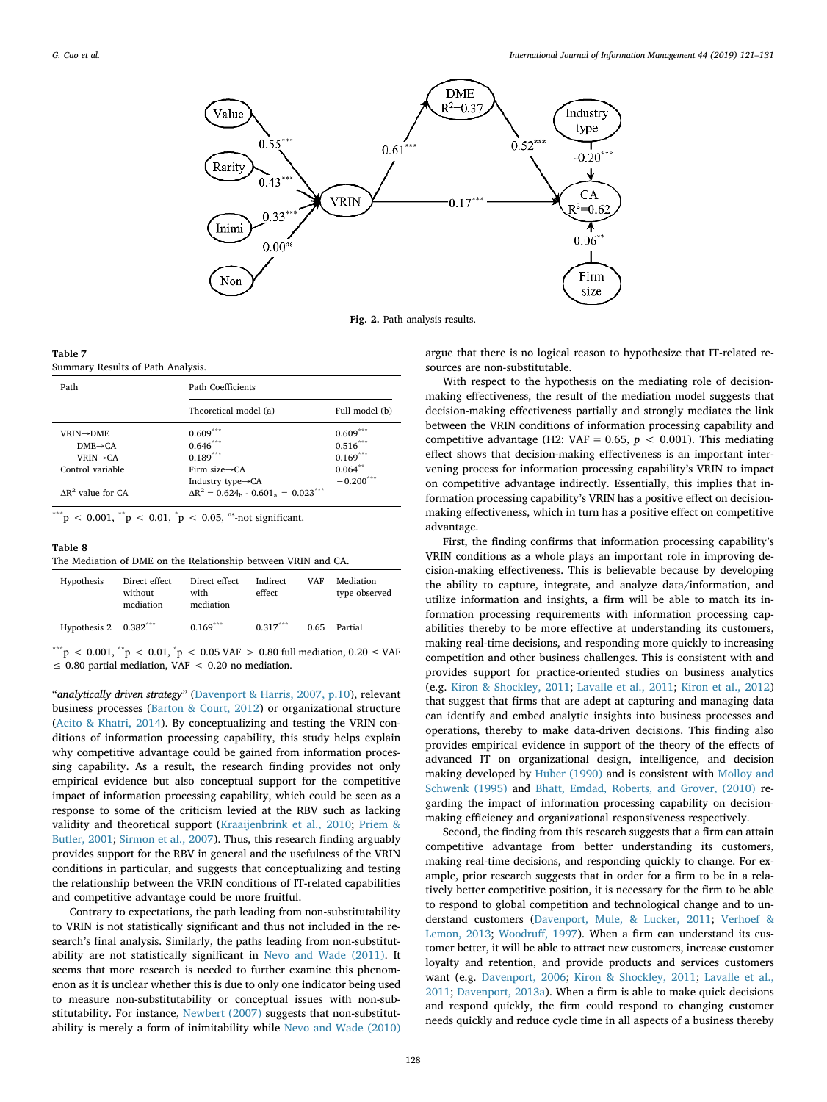

Fig. 2. Path analysis results.

| Table 7 |                                   |  |
|---------|-----------------------------------|--|
|         | Summary Results of Path Analysis. |  |

| Path Coefficients              |                                                            |  |  |
|--------------------------------|------------------------------------------------------------|--|--|
| Theoretical model (a)          | Full model (b)                                             |  |  |
| $0.609***$                     | 0.609 <sup>°</sup>                                         |  |  |
| $0.646***$                     | $0.516***$                                                 |  |  |
| $0.189***$                     | $0.169***$                                                 |  |  |
| Firm size $\rightarrow$ CA     | $0.064$ **                                                 |  |  |
| Industry type $\rightarrow$ CA | $-0.200$ ***                                               |  |  |
|                                | $\Delta R^2 = 0.624_{\rm b} - 0.601_{\rm a} = 0.023^{***}$ |  |  |

\*\*\*p < 0.001,  ${}^{**}p$  < 0.01,  ${}^{*}p$  < 0.05, <sup>ns</sup>-not significant.

#### Table 8

The Mediation of DME on the Relationship between VRIN and CA.

| Hypothesis                                | Direct effect<br>without<br>mediation | Direct effect<br>with<br>mediation | Indirect<br>effect | VAF | Mediation<br>type observed |
|-------------------------------------------|---------------------------------------|------------------------------------|--------------------|-----|----------------------------|
| Hypothesis $2 \quad 0.382$ <sup>***</sup> |                                       | $0.169$ ***                        | $0.317***$         |     | 0.65 Partial               |
| ***                                       |                                       |                                    |                    |     |                            |

\*\*\*p < 0.001,  $*$ <sup>\*</sup>p < 0.01,  $*$ p < 0.05 VAF > 0.80 full mediation, 0.20 ≤ VAF  $\leq$  0.80 partial mediation, VAF  $<$  0.20 no mediation.

"*analytically driven strategy*" (Davenport & Harris, 2007, p.10), relevant business processes (Barton & Court, 2012) or organizational structure (Acito & Khatri, 2014). By conceptualizing and testing the VRIN conditions of information processing capability, this study helps explain why competitive advantage could be gained from information processing capability. As a result, the research finding provides not only empirical evidence but also conceptual support for the competitive impact of information processing capability, which could be seen as a response to some of the criticism levied at the RBV such as lacking validity and theoretical support (Kraaijenbrink et al., 2010; Priem & Butler, 2001; Sirmon et al., 2007). Thus, this research finding arguably provides support for the RBV in general and the usefulness of the VRIN conditions in particular, and suggests that conceptualizing and testing the relationship between the VRIN conditions of IT-related capabilities and competitive advantage could be more fruitful.

Contrary to expectations, the path leading from non-substitutability to VRIN is not statistically significant and thus not included in the research's final analysis. Similarly, the paths leading from non-substitutability are not statistically significant in Nevo and Wade (2011). It seems that more research is needed to further examine this phenomenon as it is unclear whether this is due to only one indicator being used to measure non-substitutability or conceptual issues with non-substitutability. For instance, Newbert (2007) suggests that non-substitutability is merely a form of inimitability while Nevo and Wade (2010)

argue that there is no logical reason to hypothesize that IT-related resources are non-substitutable.

With respect to the hypothesis on the mediating role of decisionmaking effectiveness, the result of the mediation model suggests that decision-making effectiveness partially and strongly mediates the link between the VRIN conditions of information processing capability and competitive advantage (H2: VAF = 0.65,  $p < 0.001$ ). This mediating effect shows that decision-making effectiveness is an important intervening process for information processing capability's VRIN to impact on competitive advantage indirectly. Essentially, this implies that information processing capability's VRIN has a positive effect on decisionmaking effectiveness, which in turn has a positive effect on competitive advantage.

First, the finding confirms that information processing capability's VRIN conditions as a whole plays an important role in improving decision-making effectiveness. This is believable because by developing the ability to capture, integrate, and analyze data/information, and utilize information and insights, a firm will be able to match its information processing requirements with information processing capabilities thereby to be more effective at understanding its customers, making real-time decisions, and responding more quickly to increasing competition and other business challenges. This is consistent with and provides support for practice-oriented studies on business analytics (e.g. Kiron & Shockley, 2011; Lavalle et al., 2011; Kiron et al., 2012) that suggest that firms that are adept at capturing and managing data can identify and embed analytic insights into business processes and operations, thereby to make data-driven decisions. This finding also provides empirical evidence in support of the theory of the effects of advanced IT on organizational design, intelligence, and decision making developed by Huber (1990) and is consistent with Molloy and Schwenk (1995) and Bhatt, Emdad, Roberts, and Grover, (2010) regarding the impact of information processing capability on decisionmaking efficiency and organizational responsiveness respectively.

Second, the finding from this research suggests that a firm can attain competitive advantage from better understanding its customers, making real-time decisions, and responding quickly to change. For example, prior research suggests that in order for a firm to be in a relatively better competitive position, it is necessary for the firm to be able to respond to global competition and technological change and to understand customers (Davenport, Mule, & Lucker, 2011; Verhoef & Lemon, 2013; Woodruff, 1997). When a firm can understand its customer better, it will be able to attract new customers, increase customer loyalty and retention, and provide products and services customers want (e.g. Davenport, 2006; Kiron & Shockley, 2011; Lavalle et al., 2011; Davenport, 2013a). When a firm is able to make quick decisions and respond quickly, the firm could respond to changing customer needs quickly and reduce cycle time in all aspects of a business thereby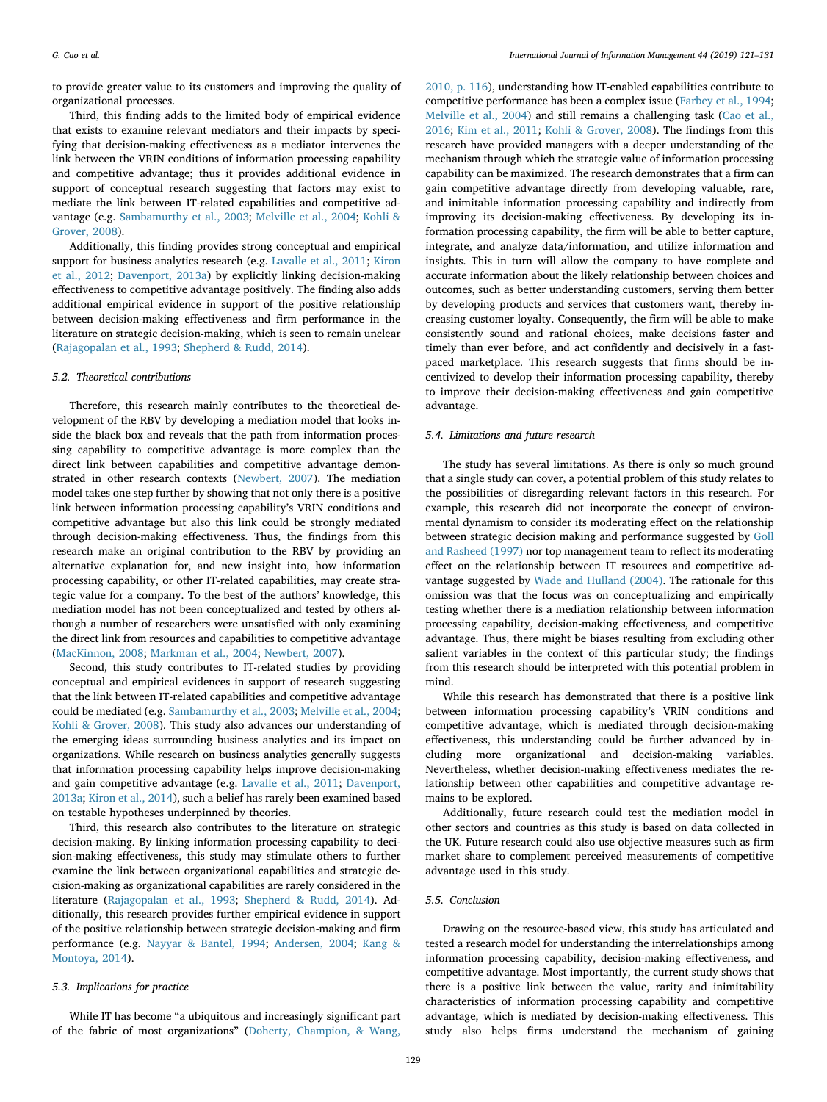to provide greater value to its customers and improving the quality of organizational processes.

Third, this finding adds to the limited body of empirical evidence that exists to examine relevant mediators and their impacts by specifying that decision-making effectiveness as a mediator intervenes the link between the VRIN conditions of information processing capability and competitive advantage; thus it provides additional evidence in support of conceptual research suggesting that factors may exist to mediate the link between IT-related capabilities and competitive advantage (e.g. Sambamurthy et al., 2003; Melville et al., 2004; Kohli & Grover, 2008).

Additionally, this finding provides strong conceptual and empirical support for business analytics research (e.g. Lavalle et al., 2011; Kiron et al., 2012; Davenport, 2013a) by explicitly linking decision-making effectiveness to competitive advantage positively. The finding also adds additional empirical evidence in support of the positive relationship between decision-making effectiveness and firm performance in the literature on strategic decision-making, which is seen to remain unclear (Rajagopalan et al., 1993; Shepherd & Rudd, 2014).

#### *5.2. Theoretical contributions*

Therefore, this research mainly contributes to the theoretical development of the RBV by developing a mediation model that looks inside the black box and reveals that the path from information processing capability to competitive advantage is more complex than the direct link between capabilities and competitive advantage demonstrated in other research contexts (Newbert, 2007). The mediation model takes one step further by showing that not only there is a positive link between information processing capability's VRIN conditions and competitive advantage but also this link could be strongly mediated through decision-making effectiveness. Thus, the findings from this research make an original contribution to the RBV by providing an alternative explanation for, and new insight into, how information processing capability, or other IT-related capabilities, may create strategic value for a company. To the best of the authors' knowledge, this mediation model has not been conceptualized and tested by others although a number of researchers were unsatisfied with only examining the direct link from resources and capabilities to competitive advantage (MacKinnon, 2008; Markman et al., 2004; Newbert, 2007).

Second, this study contributes to IT-related studies by providing conceptual and empirical evidences in support of research suggesting that the link between IT-related capabilities and competitive advantage could be mediated (e.g. Sambamurthy et al., 2003; Melville et al., 2004; Kohli & Grover, 2008). This study also advances our understanding of the emerging ideas surrounding business analytics and its impact on organizations. While research on business analytics generally suggests that information processing capability helps improve decision-making and gain competitive advantage (e.g. Lavalle et al., 2011; Davenport, 2013a; Kiron et al., 2014), such a belief has rarely been examined based on testable hypotheses underpinned by theories.

Third, this research also contributes to the literature on strategic decision-making. By linking information processing capability to decision-making effectiveness, this study may stimulate others to further examine the link between organizational capabilities and strategic decision-making as organizational capabilities are rarely considered in the literature (Rajagopalan et al., 1993; Shepherd & Rudd, 2014). Additionally, this research provides further empirical evidence in support of the positive relationship between strategic decision-making and firm performance (e.g. Nayyar & Bantel, 1994; Andersen, 2004; Kang & Montoya, 2014).

#### *5.3. Implications for practice*

While IT has become "a ubiquitous and increasingly significant part of the fabric of most organizations" (Doherty, Champion, & Wang,

2010, p. 116), understanding how IT-enabled capabilities contribute to competitive performance has been a complex issue (Farbey et al., 1994; Melville et al., 2004) and still remains a challenging task (Cao et al., 2016; Kim et al., 2011; Kohli & Grover, 2008). The findings from this research have provided managers with a deeper understanding of the mechanism through which the strategic value of information processing capability can be maximized. The research demonstrates that a firm can gain competitive advantage directly from developing valuable, rare, and inimitable information processing capability and indirectly from improving its decision-making effectiveness. By developing its information processing capability, the firm will be able to better capture, integrate, and analyze data/information, and utilize information and insights. This in turn will allow the company to have complete and accurate information about the likely relationship between choices and outcomes, such as better understanding customers, serving them better by developing products and services that customers want, thereby increasing customer loyalty. Consequently, the firm will be able to make consistently sound and rational choices, make decisions faster and timely than ever before, and act confidently and decisively in a fastpaced marketplace. This research suggests that firms should be incentivized to develop their information processing capability, thereby to improve their decision-making effectiveness and gain competitive advantage.

# *5.4. Limitations and future research*

The study has several limitations. As there is only so much ground that a single study can cover, a potential problem of this study relates to the possibilities of disregarding relevant factors in this research. For example, this research did not incorporate the concept of environmental dynamism to consider its moderating effect on the relationship between strategic decision making and performance suggested by Goll and Rasheed (1997) nor top management team to reflect its moderating effect on the relationship between IT resources and competitive advantage suggested by Wade and Hulland (2004). The rationale for this omission was that the focus was on conceptualizing and empirically testing whether there is a mediation relationship between information processing capability, decision-making effectiveness, and competitive advantage. Thus, there might be biases resulting from excluding other salient variables in the context of this particular study; the findings from this research should be interpreted with this potential problem in mind.

While this research has demonstrated that there is a positive link between information processing capability's VRIN conditions and competitive advantage, which is mediated through decision-making effectiveness, this understanding could be further advanced by including more organizational and decision-making variables. Nevertheless, whether decision-making effectiveness mediates the relationship between other capabilities and competitive advantage remains to be explored.

Additionally, future research could test the mediation model in other sectors and countries as this study is based on data collected in the UK. Future research could also use objective measures such as firm market share to complement perceived measurements of competitive advantage used in this study.

# *5.5. Conclusion*

Drawing on the resource-based view, this study has articulated and tested a research model for understanding the interrelationships among information processing capability, decision-making effectiveness, and competitive advantage. Most importantly, the current study shows that there is a positive link between the value, rarity and inimitability characteristics of information processing capability and competitive advantage, which is mediated by decision-making effectiveness. This study also helps firms understand the mechanism of gaining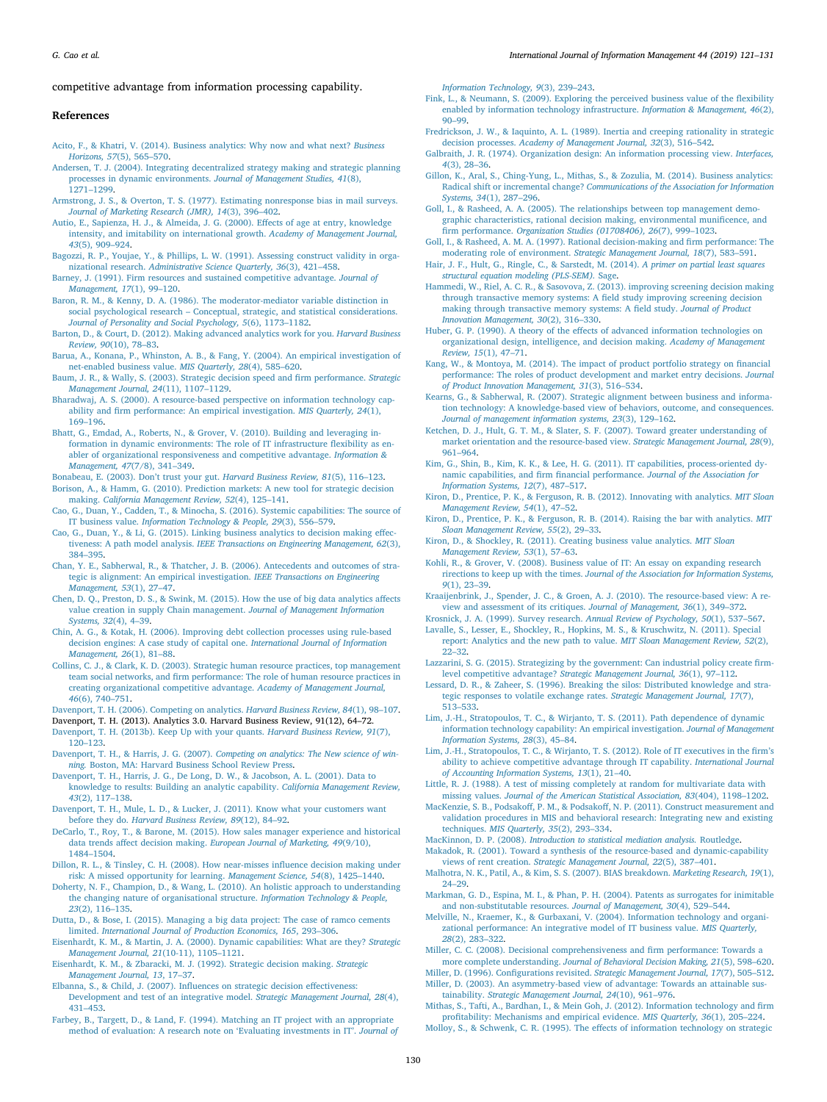#### competitive advantage from information processing capability.

#### References

- Acito, F., & Khatri, V. (2014). Business analytics: Why now and what next? *Business Horizons, 57*(5), 565–570.
- Andersen, T. J. (2004). Integrating decentralized strategy making and strategic planning processes in dynamic environments. *Journal of Management Studies, 41*(8), 1271–1299.
- Armstrong, J. S., & Overton, T. S. (1977). Estimating nonresponse bias in mail surveys. *Journal of Marketing Research (JMR), 14*(3), 396–402.
- Autio, E., Sapienza, H. J., & Almeida, J. G. (2000). Effects of age at entry, knowledge intensity, and imitability on international growth. *Academy of Management Journal, 43*(5), 909–924.
- Bagozzi, R. P., Youjae, Y., & Phillips, L. W. (1991). Assessing construct validity in organizational research. *Administrative Science Quarterly, 36*(3), 421–458.

Barney, J. (1991). Firm resources and sustained competitive advantage. *Journal of Management, 17*(1), 99–120.

- Baron, R. M., & Kenny, D. A. (1986). The moderator-mediator variable distinction in social psychological research – Conceptual, strategic, and statistical considerations. *Journal of Personality and Social Psychology, 5*(6), 1173–1182.
- Barton, D., & Court, D. (2012). Making advanced analytics work for you. *Harvard Business Review, 90*(10), 78–83. Barua, A., Konana, P., Whinston, A. B., & Fang, Y. (2004). An empirical investigation of
- net-enabled business value. *MIS Quarterly, 28*(4), 585–620. Baum, J. R., & Wally, S. (2003). Strategic decision speed and firm performance. *Strategic*
- *Management Journal, 24*(11), 1107–1129. Bharadwaj, A. S. (2000). A resource-based perspective on information technology cap-
- ability and firm performance: An empirical investigation. *MIS Quarterly, 24*(1), 169–196.
- Bhatt, G., Emdad, A., Roberts, N., & Grover, V. (2010). Building and leveraging information in dynamic environments: The role of IT infrastructure flexibility as enabler of organizational responsiveness and competitive advantage. *Information & Management, 47*(7/8), 341–349.
- Bonabeau, E. (2003). Don't trust your gut. *Harvard Business Review, 81*(5), 116–123. Borison, A., & Hamm, G. (2010). Prediction markets: A new tool for strategic decision
- making. *California Management Review, 52*(4), 125–141. Cao, G., Duan, Y., Cadden, T., & Minocha, S. (2016). Systemic capabilities: The source of
- IT business value. *Information Technology & People, 29*(3), 556–579. Cao, G., Duan, Y., & Li, G. (2015). Linking business analytics to decision making effectiveness: A path model analysis. *IEEE Transactions on Engineering Management, 62*(3), 384–395.
- Chan, Y. E., Sabherwal, R., & Thatcher, J. B. (2006). Antecedents and outcomes of strategic is alignment: An empirical investigation. *IEEE Transactions on Engineering Management, 53*(1), 27–47.
- Chen, D. Q., Preston, D. S., & Swink, M. (2015). How the use of big data analytics affects value creation in supply Chain management. *Journal of Management Information Systems, 32*(4), 4–39.
- Chin, A. G., & Kotak, H. (2006). Improving debt collection processes using rule-based decision engines: A case study of capital one. *International Journal of Information Management, 26*(1), 81–88.
- Collins, C. J., & Clark, K. D. (2003). Strategic human resource practices, top management team social networks, and firm performance: The role of human resource practices in creating organizational competitive advantage. *Academy of Management Journal, 46*(6), 740–751.
- Davenport, T. H. (2006). Competing on analytics. *Harvard Business Review, 84*(1), 98–107.
- Davenport, T. H. (2013). Analytics 3.0. Harvard Business Review, 91(12), 64–72.
- Davenport, T. H. (2013b). Keep Up with your quants. *Harvard Business Review, 91*(7), 120–123.
- Davenport, T. H., & Harris, J. G. (2007). *Competing on analytics: The New science of winning.* Boston, MA: Harvard Business School Review Press.

Davenport, T. H., Harris, J. G., De Long, D. W., & Jacobson, A. L. (2001). Data to

- knowledge to results: Building an analytic capability. *California Management Review, 43*(2), 117–138. Davenport, T. H., Mule, L. D., & Lucker, J. (2011). Know what your customers want
- before they do. *Harvard Business Review, 89*(12), 84–92.
- DeCarlo, T., Roy, T., & Barone, M. (2015). How sales manager experience and historical data trends affect decision making. *European Journal of Marketing, 49*(9/10), 1484–1504.
- Dillon, R. L., & Tinsley, C. H. (2008). How near-misses influence decision making under risk: A missed opportunity for learning. *Management Science, 54*(8), 1425–1440.
- Doherty, N. F., Champion, D., & Wang, L. (2010). An holistic approach to understanding the changing nature of organisational structure. *Information Technology & People, 23*(2), 116–135.
- Dutta, D., & Bose, I. (2015). Managing a big data project: The case of ramco cements limited. *International Journal of Production Economics, 165*, 293–306.

Eisenhardt, K. M., & Martin, J. A. (2000). Dynamic capabilities: What are they? *Strategic Management Journal, 21*(10-11), 1105–1121.

Eisenhardt, K. M., & Zbaracki, M. J. (1992). Strategic decision making. *Strategic Management Journal, 13*, 17–37.

Elbanna, S., & Child, J. (2007). Influences on strategic decision effectiveness: Development and test of an integrative model. *Strategic Management Journal, 28*(4), 431–453.

Farbey, B., Targett, D., & Land, F. (1994). Matching an IT project with an appropriate method of evaluation: A research note on 'Evaluating investments in IT'. *Journal of* *Information Technology, 9*(3), 239–243.

- Fink, L., & Neumann, S. (2009). Exploring the perceived business value of the flexibility enabled by information technology infrastructure. *Information & Management, 46*(2), 90–99.
- Fredrickson, J. W., & Iaquinto, A. L. (1989). Inertia and creeping rationality in strategic decision processes. *Academy of Management Journal, 32*(3), 516–542.
- Galbraith, J. R. (1974). Organization design: An information processing view. *Interfaces, 4*(3), 28–36.
- Gillon, K., Aral, S., Ching-Yung, L., Mithas, S., & Zozulia, M. (2014). Business analytics: Radical shift or incremental change? *Communications of the Association for Information Systems, 34*(1), 287–296.
- Goll, I., & Rasheed, A. A. (2005). The relationships between top management demographic characteristics, rational decision making, environmental munificence, and firm performance. *Organization Studies (01708406), 26*(7), 999–1023.
- Goll, I., & Rasheed, A. M. A. (1997). Rational decision-making and firm performance: The moderating role of environment. *Strategic Management Journal, 18*(7), 583–591.
- Hair, J. F., Hult, G., Ringle, C., & Sarstedt, M. (2014). *A primer on partial least squares structural equation modeling (PLS-SEM).* Sage.
- Hammedi, W., Riel, A. C. R., & Sasovova, Z. (2013). improving screening decision making through transactive memory systems: A field study improving screening decision making through transactive memory systems: A field study. *Journal of Product Innovation Management, 30*(2), 316–330.
- Huber, G. P. (1990). A theory of the effects of advanced information technologies on organizational design, intelligence, and decision making. *Academy of Management Review, 15*(1), 47–71.
- Kang, W., & Montoya, M. (2014). The impact of product portfolio strategy on financial performance: The roles of product development and market entry decisions. *Journal of Product Innovation Management, 31*(3), 516–534.
- Kearns, G., & Sabherwal, R. (2007). Strategic alignment between business and information technology: A knowledge-based view of behaviors, outcome, and consequences. *Journal of management information systems, 23*(3), 129–162.
- Ketchen, D. J., Hult, G. T. M., & Slater, S. F. (2007). Toward greater understanding of market orientation and the resource‐based view. *Strategic Management Journal, 28*(9), 961–964.
- Kim, G., Shin, B., Kim, K. K., & Lee, H. G. (2011). IT capabilities, process-oriented dynamic capabilities, and firm financial performance. *Journal of the Association for Information Systems, 12*(7), 487–517.
- Kiron, D., Prentice, P. K., & Ferguson, R. B. (2012). Innovating with analytics. *MIT Sloan Management Review, 54*(1), 47–52.
- Kiron, D., Prentice, P. K., & Ferguson, R. B. (2014). Raising the bar with analytics. *MIT Sloan Management Review, 55*(2), 29–33.
- Kiron, D., & Shockley, R. (2011). Creating business value analytics. *MIT Sloan Management Review, 53*(1), 57–63.
- Kohli, R., & Grover, V. (2008). Business value of IT: An essay on expanding research rirections to keep up with the times. *Journal of the Association for Information Systems, 9*(1), 23–39.
- Kraaijenbrink, J., Spender, J. C., & Groen, A. J. (2010). The resource-based view: A review and assessment of its critiques. *Journal of Management, 36*(1), 349–372.
- Krosnick, J. A. (1999). Survey research. *Annual Review of Psychology, 50*(1), 537–567.
- Lavalle, S., Lesser, E., Shockley, R., Hopkins, M. S., & Kruschwitz, N. (2011). Special report: Analytics and the new path to value. *MIT Sloan Management Review, 52*(2), 22–32.
- Lazzarini, S. G. (2015). Strategizing by the government: Can industrial policy create firmlevel competitive advantage? *Strategic Management Journal, 36*(1), 97–112.
- Lessard, D. R., & Zaheer, S. (1996). Breaking the silos: Distributed knowledge and strategic responses to volatile exchange rates. *Strategic Management Journal, 17*(7), 513–533.
- Lim, J.-H., Stratopoulos, T. C., & Wirjanto, T. S. (2011). Path dependence of dynamic information technology capability: An empirical investigation. *Journal of Management Information Systems, 28*(3), 45–84.
- Lim, J.-H., Stratopoulos, T. C., & Wirjanto, T. S. (2012). Role of IT executives in the firm's ability to achieve competitive advantage through IT capability. *International Journal of Accounting Information Systems, 13*(1), 21–40.

Little, R. J. (1988). A test of missing completely at random for multivariate data with missing values. *Journal of the American Statistical Association, 83*(404), 1198–1202.

MacKenzie, S. B., Podsakoff, P. M., & Podsakoff, N. P. (2011). Construct measurement and validation procedures in MIS and behavioral research: Integrating new and existing techniques. *MIS Quarterly, 35*(2), 293–334.

MacKinnon, D. P. (2008). *Introduction to statistical mediation analysis.* Routledge.

- Makadok, R. (2001). Toward a synthesis of the resource-based and dynamic-capability views of rent creation. *Strategic Management Journal, 22*(5), 387–401.
- Malhotra, N. K., Patil, A., & Kim, S. S. (2007). BIAS breakdown. *Marketing Research, 19*(1), 24–29.
- Markman, G. D., Espina, M. I., & Phan, P. H. (2004). Patents as surrogates for inimitable and non-substitutable resources. *Journal of Management, 30*(4), 529–544.
- Melville, N., Kraemer, K., & Gurbaxani, V. (2004). Information technology and organizational performance: An integrative model of IT business value. *MIS Quarterly, 28*(2), 283–322.

Miller, C. C. (2008). Decisional comprehensiveness and firm performance: Towards a more complete understanding. *Journal of Behavioral Decision Making, 21*(5), 598–620.

Miller, D. (1996). Configurations revisited. *Strategic Management Journal, 17*(7), 505–512. Miller, D. (2003). An asymmetry-based view of advantage: Towards an attainable sustainability. *Strategic Management Journal, 24*(10), 961–976.

Mithas, S., Tafti, A., Bardhan, I., & Mein Goh, J. (2012). Information technology and firm profitability: Mechanisms and empirical evidence. *MIS Quarterly, 36*(1), 205–224.

Molloy, S., & Schwenk, C. R. (1995). The effects of information technology on strategic